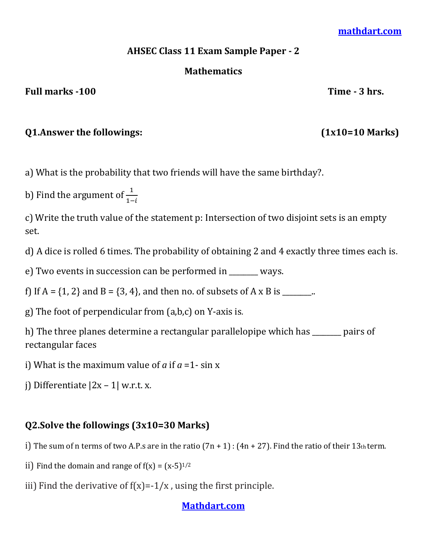#### **[mathdart.com](https://mathdart.com/)**

### **AHSEC Class 11 Exam Sample Paper - 2**

### **Mathematics**

#### Full marks -100 Time - 3 hrs.

## **Q1.Answer the followings: (1x10=10 Marks)**

a) What is the probability that two friends will have the same birthday?.

b) Find the argument of  $\frac{1}{1}$ 

c) Write the truth value of the statement p: Intersection of two disjoint sets is an empty set.

d) A dice is rolled 6 times. The probability of obtaining 2 and 4 exactly three times each is.

e) Two events in succession can be performed in \_\_\_\_\_\_\_\_ ways.

f) If  $A = \{1, 2\}$  and  $B = \{3, 4\}$ , and then no. of subsets of A x B is \_\_\_\_\_\_\_..

g) The foot of perpendicular from (a,b,c) on Y-axis is*.*

h) The three planes determine a rectangular parallelopipe which has \_\_\_\_\_\_\_\_ pairs of rectangular faces

i) What is the maximum value of *a* if *a* =1- sin x

j) Differentiate  $|2x - 1|$  w.r.t. x.

# **Q2.Solve the followings (3x10=30 Marks)**

i) The sum of n terms of two A.P.s are in the ratio  $(7n + 1)$ :  $(4n + 27)$ . Find the ratio of their 13th term.

- ii) Find the domain and range of  $f(x) = (x-5)^{1/2}$
- iii) Find the derivative of  $f(x) = -1/x$ , using the first principle.

## **[Mathdart.com](https://mathdart.com/)**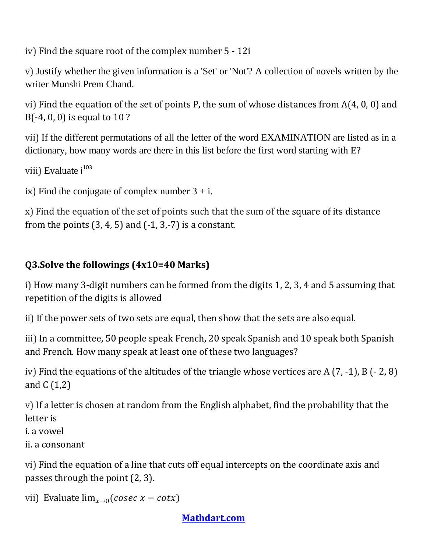iv) Find the square root of the complex number 5 - 12i

v) Justify whether the given information is a 'Set' or 'Not'? A collection of novels written by the writer Munshi Prem Chand.

vi) Find the equation of the set of points P, the sum of whose distances from A(4, 0, 0) and B(-4, 0, 0) is equal to 10 ?

vii) If the different permutations of all the letter of the word EXAMINATION are listed as in a dictionary, how many words are there in this list before the first word starting with E?

viii) Evaluate i<sup>103</sup>

ix) Find the conjugate of complex number  $3 + i$ .

x) Find the equation of the set of points such that the sum of the square of its distance from the points  $(3, 4, 5)$  and  $(-1, 3, -7)$  is a constant.

# **Q3.Solve the followings (4x10=40 Marks)**

i) How many 3-digit numbers can be formed from the digits 1, 2, 3, 4 and 5 assuming that repetition of the digits is allowed

ii) If the power sets of two sets are equal, then show that the sets are also equal.

iii) In a committee, 50 people speak French, 20 speak Spanish and 10 speak both Spanish and French. How many speak at least one of these two languages?

iv) Find the equations of the altitudes of the triangle whose vertices are A (7, -1), B (- 2, 8) and C (1,2)

v) If a letter is chosen at random from the English alphabet, find the probability that the letter is

i. a vowel

ii. a consonant

vi) Find the equation of a line that cuts off equal intercepts on the coordinate axis and passes through the point (2, 3).

vii) Evaluate  $\lim_{x\to 0} (cosec x - cotx)$ 

# **[Mathdart.com](https://mathdart.com/)**